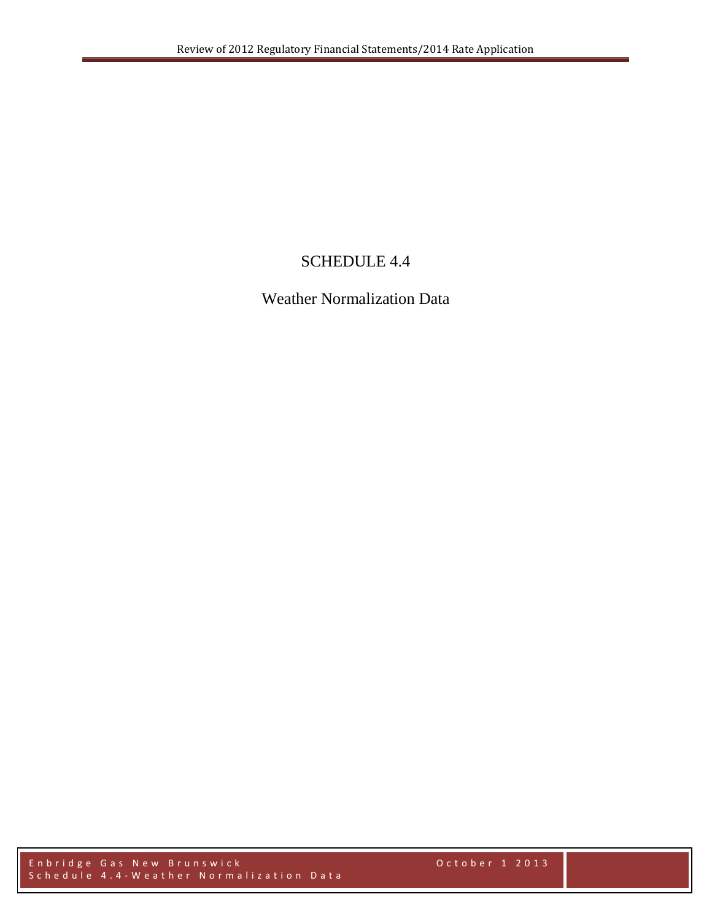## SCHEDULE 4.4

Weather Normalization Data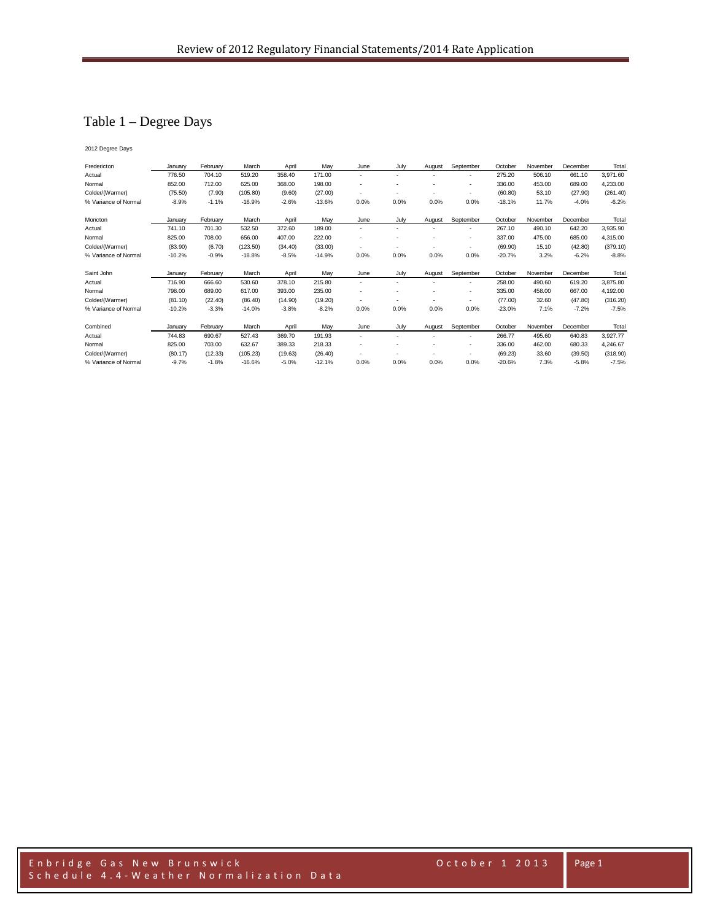## Table 1 – Degree Days

2012 Degree Days

| Fredericton          | January  | February | March    | April   | May      | June                     | July                     | August                   | September                | October  | November | December | Total    |
|----------------------|----------|----------|----------|---------|----------|--------------------------|--------------------------|--------------------------|--------------------------|----------|----------|----------|----------|
| Actual               | 776.50   | 704.10   | 519.20   | 358.40  | 171.00   | $\overline{\phantom{0}}$ | $\overline{\phantom{0}}$ |                          | $\overline{\phantom{a}}$ | 275.20   | 506.10   | 661.10   | 3,971.60 |
| Normal               | 852.00   | 712.00   | 625.00   | 368.00  | 198.00   |                          |                          |                          |                          | 336.00   | 453.00   | 689.00   | 4,233.00 |
| Colder/(Warmer)      | (75.50)  | (7.90)   | (105.80) | (9.60)  | (27.00)  | $\overline{a}$           |                          |                          | $\overline{\phantom{a}}$ | (60.80)  | 53.10    | (27.90)  | (261.40) |
| % Variance of Normal | $-8.9%$  | $-1.1%$  | $-16.9%$ | $-2.6%$ | $-13.6%$ | 0.0%                     | 0.0%                     | 0.0%                     | 0.0%                     | $-18.1%$ | 11.7%    | $-4.0%$  | $-6.2%$  |
| Moncton              | January  | February | March    | April   | May      | June                     | July                     | August                   | September                | October  | November | December | Total    |
| Actual               | 741.10   | 701.30   | 532.50   | 372.60  | 189.00   | $\overline{\phantom{0}}$ |                          |                          |                          | 267.10   | 490.10   | 642.20   | 3,935.90 |
| Normal               | 825.00   | 708.00   | 656.00   | 407.00  | 222.00   | $\overline{a}$           |                          |                          | ٠                        | 337.00   | 475.00   | 685.00   | 4,315.00 |
| Colder/(Warmer)      | (83.90)  | (6.70)   | (123.50) | (34.40) | (33.00)  | $\overline{\phantom{a}}$ |                          | $\overline{\phantom{a}}$ | $\overline{\phantom{a}}$ | (69.90)  | 15.10    | (42.80)  | (379.10) |
| % Variance of Normal | $-10.2%$ | $-0.9%$  | $-18.8%$ | $-8.5%$ | $-14.9%$ | 0.0%                     | 0.0%                     | 0.0%                     | 0.0%                     | $-20.7%$ | 3.2%     | $-6.2%$  | $-8.8%$  |
| Saint John           | Januarv  | February | March    | April   | May      | June                     | July                     | August                   | September                | October  | November | December | Total    |
| Actual               | 716.90   | 666.60   | 530.60   | 378.10  | 215.80   | $\overline{\phantom{a}}$ |                          |                          | $\overline{\phantom{a}}$ | 258.00   | 490.60   | 619.20   | 3,875.80 |
| Normal               | 798.00   | 689.00   | 617.00   | 393.00  | 235.00   |                          |                          |                          | ٠                        | 335.00   | 458.00   | 667.00   | 4,192.00 |
| Colder/(Warmer)      | (81.10)  | (22.40)  | (86.40)  | (14.90) | (19.20)  | $\overline{\phantom{0}}$ |                          |                          | $\overline{\phantom{a}}$ | (77.00)  | 32.60    | (47.80)  | (316.20) |
| % Variance of Normal | $-10.2%$ | $-3.3%$  | $-14.0%$ | $-3.8%$ | $-8.2%$  | 0.0%                     | 0.0%                     | 0.0%                     | 0.0%                     | $-23.0%$ | 7.1%     | $-7.2%$  | $-7.5%$  |
| Combined             | January  | February | March    | April   | May      | June                     | July                     | August                   | September                | October  | November | December | Total    |
| Actual               | 744.83   | 690.67   | 527.43   | 369.70  | 191.93   |                          |                          |                          |                          | 266.77   | 495.60   | 640.83   | 3,927.77 |
| Normal               | 825.00   | 703.00   | 632.67   | 389.33  | 218.33   |                          |                          |                          | $\overline{\phantom{a}}$ | 336.00   | 462.00   | 680.33   | 4,246.67 |
| Colder/(Warmer)      | (80.17)  | (12.33)  | (105.23) | (19.63) | (26.40)  | $\overline{\phantom{0}}$ |                          |                          | $\overline{\phantom{a}}$ | (69.23)  | 33.60    | (39.50)  | (318.90) |
| % Variance of Normal | $-9.7%$  | $-1.8%$  | $-16.6%$ | $-5.0%$ | $-12.1%$ | 0.0%                     | 0.0%                     | 0.0%                     | 0.0%                     | $-20.6%$ | 7.3%     | $-5.8%$  | $-7.5%$  |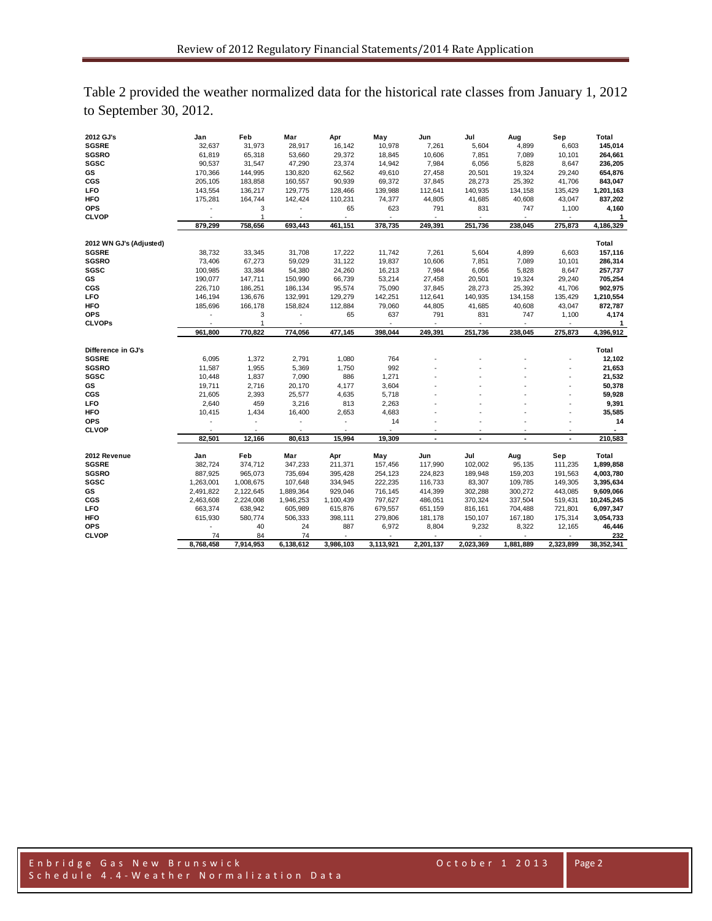| Table 2 provided the weather normalized data for the historical rate classes from January 1, 2012 |  |  |
|---------------------------------------------------------------------------------------------------|--|--|
| to September 30, 2012.                                                                            |  |  |

| 2012 GJ's               | Jan                  | Feb             | Mar                      | Apr                                   | May             | Jun                                   | Jul            | Aug                         | Sep       | Total             |
|-------------------------|----------------------|-----------------|--------------------------|---------------------------------------|-----------------|---------------------------------------|----------------|-----------------------------|-----------|-------------------|
| <b>SGSRE</b>            | 32,637               | 31,973          | 28,917                   | 16,142                                | 10,978          | 7,261                                 | 5,604          | 4,899                       | 6,603     | 145,014           |
| <b>SGSRO</b>            | 61,819               | 65,318          | 53,660                   | 29,372                                | 18,845          | 10,606                                | 7,851          | 7,089                       | 10,101    | 264,661           |
| SGSC                    | 90,537               | 31,547          | 47,290                   | 23,374                                | 14,942          | 7,984                                 | 6,056          | 5,828                       | 8,647     | 236,205           |
| GS                      | 170,366              | 144,995         | 130,820                  | 62,562                                | 49,610          | 27,458                                | 20,501         | 19,324                      | 29,240    | 654,876           |
| CGS                     | 205,105              | 183,858         | 160,557                  | 90,939                                | 69,372          | 37,845                                | 28,273         | 25,392                      | 41,706    | 843,047           |
| LFO                     | 143,554              | 136,217         | 129,775                  | 128,466                               | 139,988         | 112,641                               | 140,935        | 134,158                     | 135,429   | 1,201,163         |
| <b>HFO</b>              | 175,281              | 164,744         | 142,424                  | 110,231                               | 74,377          | 44,805                                | 41,685         | 40,608                      | 43,047    | 837,202           |
| <b>OPS</b>              |                      | 3               |                          | 65                                    | 623             | 791                                   | 831            | 747                         | 1,100     | 4,160             |
| <b>CLVOP</b>            | $\ddot{\phantom{1}}$ | 1               |                          | $\overline{\phantom{a}}$              | $\sim$          | $\overline{\phantom{a}}$              | $\blacksquare$ | $\sim$                      | $\sim$    | 1                 |
|                         | 879,299              | 758,656         | 693,443                  | 461,151                               | 378,735         | 249,391                               | 251,736        | 238,045                     | 275,873   | 4,186,329         |
|                         |                      |                 |                          |                                       |                 |                                       |                |                             |           |                   |
| 2012 WN GJ's (Adjusted) |                      |                 |                          |                                       |                 |                                       |                |                             |           | Total             |
| <b>SGSRE</b>            | 38,732               | 33,345          | 31,708                   | 17,222                                | 11,742          | 7,261                                 | 5,604          | 4,899                       | 6,603     | 157,116           |
| <b>SGSRO</b>            | 73,406               | 67,273          | 59,029                   | 31,122                                | 19,837          | 10,606                                | 7,851          | 7,089                       | 10,101    | 286,314           |
| SGSC                    | 100,985              | 33,384          | 54,380                   | 24,260                                | 16,213          | 7,984                                 | 6,056          | 5,828                       | 8,647     | 257,737           |
| GS                      | 190,077              | 147,711         | 150,990                  | 66,739                                | 53,214          | 27,458                                | 20,501         | 19,324                      | 29,240    | 705,254           |
| CGS                     | 226,710              | 186,251         | 186,134                  | 95,574                                | 75,090          | 37,845                                | 28,273         | 25,392                      | 41,706    | 902,975           |
| LFO                     | 146,194              | 136,676         | 132,991                  | 129,279                               | 142,251         | 112,641                               | 140,935        | 134,158                     | 135,429   | 1,210,554         |
| <b>HFO</b>              | 185,696              | 166,178         | 158,824                  | 112,884                               | 79,060          | 44,805                                | 41,685         | 40,608                      | 43,047    | 872,787           |
| <b>OPS</b>              | ÷,                   | 3               | $\overline{\phantom{a}}$ | 65                                    | 637             | 791                                   | 831            | 747                         | 1,100     | 4,174             |
| <b>CLVOPs</b>           |                      | 1               |                          |                                       |                 |                                       |                |                             |           | 1                 |
|                         | 961,800              | 770,822         | 774,056                  | 477,145                               | 398,044         | 249,391                               | 251,736        | 238,045                     | 275,873   | 4,396,912         |
|                         |                      |                 |                          |                                       |                 |                                       |                |                             |           |                   |
| Difference in GJ's      |                      |                 |                          |                                       |                 |                                       |                |                             |           | Total             |
| <b>SGSRE</b>            | 6,095                | 1,372           | 2,791                    | 1,080                                 | 764             |                                       |                |                             |           | 12,102            |
| <b>SGSRO</b>            | 11,587               | 1,955           | 5,369                    | 1,750                                 | 992             |                                       |                |                             |           | 21,653            |
| <b>SGSC</b>             | 10,448               | 1,837           | 7,090                    | 886                                   | 1,271           |                                       |                |                             |           | 21,532            |
| GS                      | 19,711               | 2,716           | 20,170                   | 4,177                                 | 3,604           |                                       |                |                             |           | 50,378            |
| CGS                     | 21,605               | 2,393           | 25,577                   | 4,635                                 | 5,718           |                                       |                |                             |           | 59,928            |
| LFO                     | 2,640                | 459             | 3,216                    | 813                                   | 2,263           |                                       |                |                             |           | 9,391             |
| <b>HFO</b>              | 10,415               | 1,434           | 16,400                   | 2,653                                 | 4,683           |                                       |                |                             |           | 35,585            |
| <b>OPS</b>              |                      |                 |                          |                                       | 14              |                                       |                |                             |           | 14                |
| <b>CLVOP</b>            |                      |                 |                          |                                       |                 |                                       |                |                             |           |                   |
|                         | 82,501               | 12,166          | 80,613                   | 15,994                                | 19,309          |                                       | $\overline{a}$ |                             |           | 210,583           |
| 2012 Revenue            | Jan                  | Feb             | Mar                      | Apr                                   | May             | Jun                                   | Jul            | Aug                         | Sep       | Total             |
| <b>SGSRE</b>            | 382,724              | 374,712         | 347,233                  | 211,371                               | 157,456         | 117,990                               | 102,002        | 95,135                      | 111,235   | 1,899,858         |
| <b>SGSRO</b>            | 887,925              | 965,073         | 735,694                  | 395,428                               | 254,123         | 224,823                               | 189,948        | 159,203                     | 191,563   | 4,003,780         |
| <b>SGSC</b>             | 1,263,001            | 1,008,675       | 107,648                  | 334,945                               | 222,235         | 116,733                               | 83,307         | 109,785                     | 149,305   | 3,395,634         |
| GS                      | 2,491,822            | 2,122,645       | 1,889,364                | 929,046                               | 716,145         | 414,399                               | 302,288        | 300,272                     | 443,085   | 9,609,066         |
| CGS                     |                      |                 |                          |                                       |                 | 486,051                               | 370,324        | 337,504                     |           |                   |
|                         | 2,463,608            | 2,224,008       | 1,946,253                | 1,100,439                             | 797,627         |                                       |                |                             | 519,431   | 10,245,245        |
| LFO                     | 663,374              | 638,942         | 605,989                  | 615,876                               | 679,557         | 651,159                               | 816,161        | 704,488                     | 721,801   | 6,097,347         |
| HFO<br><b>OPS</b>       | 615,930              | 580,774         | 506,333                  | 398,111                               | 279,806         | 181,178                               | 150,107        | 167,180                     | 175,314   | 3,054,733         |
|                         |                      |                 |                          |                                       |                 |                                       |                |                             |           |                   |
|                         |                      | 40              | 24                       | 887                                   | 6,972           | 8,804                                 | 9,232          | 8,322                       | 12,165    | 46,446            |
| <b>CLVOP</b>            | 74<br>8,768,458      | 84<br>7,914,953 | 74<br>6,138,612          | $\overline{\phantom{a}}$<br>3,986,103 | ÷.<br>3,113,921 | $\overline{\phantom{a}}$<br>2,201,137 | 2,023,369      | $\blacksquare$<br>1,881,889 | 2,323,899 | 232<br>38,352,341 |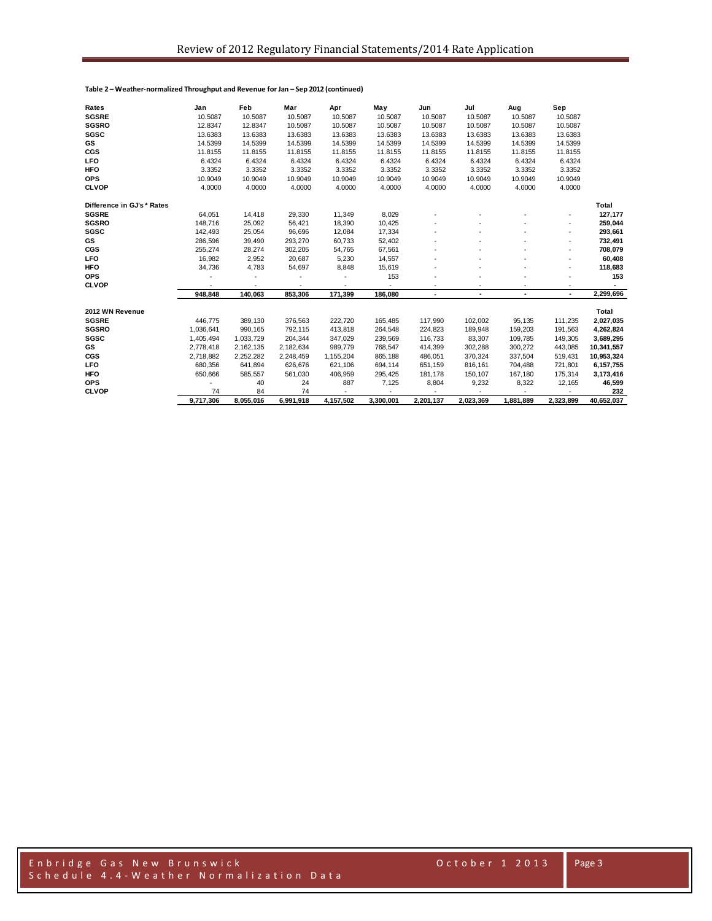| Rates                      | Jan       | Feb       | Mar       | Apr       | May       | Jun       | Jul       | Aug       | Sep       |              |
|----------------------------|-----------|-----------|-----------|-----------|-----------|-----------|-----------|-----------|-----------|--------------|
| <b>SGSRE</b>               | 10.5087   | 10.5087   | 10.5087   | 10.5087   | 10.5087   | 10.5087   | 10.5087   | 10.5087   | 10.5087   |              |
| <b>SGSRO</b>               | 12.8347   | 12.8347   | 10.5087   | 10.5087   | 10.5087   | 10.5087   | 10.5087   | 10.5087   | 10.5087   |              |
| SGSC                       | 13.6383   | 13.6383   | 13.6383   | 13.6383   | 13.6383   | 13.6383   | 13.6383   | 13.6383   | 13.6383   |              |
| <b>GS</b>                  | 14.5399   | 14.5399   | 14.5399   | 14.5399   | 14.5399   | 14.5399   | 14.5399   | 14.5399   | 14.5399   |              |
| CGS                        | 11.8155   | 11.8155   | 11.8155   | 11.8155   | 11.8155   | 11.8155   | 11.8155   | 11.8155   | 11.8155   |              |
| LFO                        | 6.4324    | 6.4324    | 6.4324    | 6.4324    | 6.4324    | 6.4324    | 6.4324    | 6.4324    | 6.4324    |              |
| <b>HFO</b>                 | 3.3352    | 3.3352    | 3.3352    | 3.3352    | 3.3352    | 3.3352    | 3.3352    | 3.3352    | 3.3352    |              |
| <b>OPS</b>                 | 10.9049   | 10.9049   | 10.9049   | 10.9049   | 10.9049   | 10.9049   | 10.9049   | 10.9049   | 10.9049   |              |
| <b>CLVOP</b>               | 4.0000    | 4.0000    | 4.0000    | 4.0000    | 4.0000    | 4.0000    | 4.0000    | 4.0000    | 4.0000    |              |
| Difference in GJ's * Rates |           |           |           |           |           |           |           |           |           | <b>Total</b> |
| <b>SGSRE</b>               | 64,051    | 14,418    | 29,330    | 11,349    | 8,029     |           |           |           |           | 127,177      |
| <b>SGSRO</b>               | 148,716   | 25,092    | 56,421    | 18,390    | 10,425    |           |           |           |           | 259,044      |
| <b>SGSC</b>                | 142,493   | 25,054    | 96,696    | 12,084    | 17,334    |           |           |           |           | 293,661      |
| GS                         | 286,596   | 39,490    | 293,270   | 60,733    | 52,402    |           |           |           |           | 732,491      |
| <b>CGS</b>                 | 255,274   | 28,274    | 302,205   | 54,765    | 67,561    |           |           |           |           | 708,079      |
| LFO                        | 16,982    | 2,952     | 20,687    | 5,230     | 14,557    |           |           |           |           | 60,408       |
| <b>HFO</b>                 | 34,736    | 4,783     | 54,697    | 8,848     | 15,619    |           |           |           |           | 118,683      |
| <b>OPS</b>                 |           |           |           |           | 153       |           |           |           |           | 153          |
| <b>CLVOP</b>               |           |           |           |           |           |           |           |           |           |              |
|                            | 948,848   | 140,063   | 853,306   | 171,399   | 186,080   | ٠         |           |           |           | 2,299,696    |
| 2012 WN Revenue            |           |           |           |           |           |           |           |           |           | Total        |
| <b>SGSRE</b>               | 446.775   | 389,130   | 376,563   | 222,720   | 165,485   | 117,990   | 102,002   | 95,135    | 111,235   | 2,027,035    |
| <b>SGSRO</b>               | 1,036,641 | 990,165   | 792,115   | 413,818   | 264,548   | 224,823   | 189,948   | 159,203   | 191,563   | 4,262,824    |
| <b>SGSC</b>                | 1,405,494 | 1,033,729 | 204,344   | 347,029   | 239,569   | 116,733   | 83,307    | 109,785   | 149,305   | 3,689,295    |
| GS                         | 2,778,418 | 2,162,135 | 2,182,634 | 989,779   | 768,547   | 414,399   | 302,288   | 300,272   | 443,085   | 10,341,557   |
| CGS                        | 2,718,882 | 2,252,282 | 2,248,459 | 1,155,204 | 865,188   | 486,051   | 370,324   | 337,504   | 519,431   | 10,953,324   |
| LFO                        | 680,356   | 641,894   | 626,676   | 621,106   | 694,114   | 651,159   | 816,161   | 704,488   | 721,801   | 6,157,755    |
| HFO                        | 650,666   | 585,557   | 561,030   | 406,959   | 295,425   | 181,178   | 150,107   | 167,180   | 175,314   | 3,173,416    |
| <b>OPS</b>                 |           | 40        | 24        | 887       | 7,125     | 8,804     | 9,232     | 8,322     | 12,165    | 46,599       |
| <b>CLVOP</b>               | 74        | 84        | 74        |           |           |           |           |           |           | 232          |
|                            | 9.717.306 | 8.055.016 | 6.991.918 | 4.157.502 | 3,300,001 | 2,201,137 | 2,023,369 | 1,881,889 | 2.323.899 | 40,652,037   |

**Table 2 – Weather-normalized Throughput and Revenue for Jan – Sep 2012 (continued)**